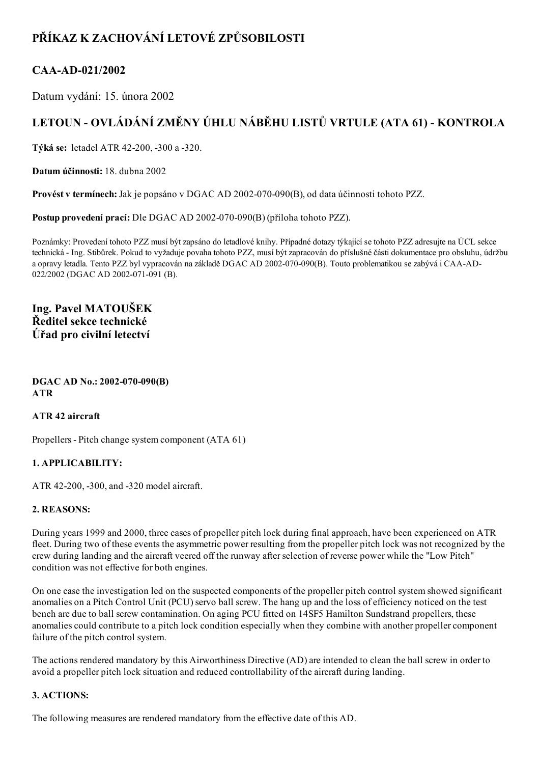# PŘÍKAZ K ZACHOVÁNÍ LETOVÉ ZPŮSOBILOSTI

## CAA-AD-021/2002

Datum vydání: 15. února 2002

# LETOUN - OVLÁDÁNÍ ZMĚNY ÚHLU NÁBĚHU LISTŮ VRTULE (ATA 61) - KONTROLA

Týká se: letadel ATR 42-200, -300 a -320.

Datum účinnosti: 18. dubna 2002

Provést v termínech: Jak je popsáno v DGAC AD 2002-070-090(B), od data účinnosti tohoto PZZ.

Postup provedení prací: Dle DGAC AD 2002-070-090(B) (příloha tohoto PZZ).

Poznámky: Provedení tohoto PZZ musí být zapsáno do letadlové knihy. Případné dotazy týkající se tohoto PZZ adresujte na ÚCL sekce technická Ing. Stibůrek. Pokud to vyžaduje povaha tohoto PZZ, musí být zapracován do příslušné části dokumentace pro obsluhu, údržbu a opravy letadla. Tento PZZ byl vypracován na základě DGAC AD 2002-070-090(B). Touto problematikou se zabývá i CAA-AD-022/2002 (DGAC AD 2002-071-091 (B).

## Ing. Pavel MATOUŠEK Ředitel sekce technické Úřad pro civilní letectví

#### $DGAC AD No.: 2002-070-090(B)$ ATR

## ATR 42 aircraft

Propellers - Pitch change system component (ATA 61)

## 1. APPLICABILITY:

ATR 42-200, -300, and -320 model aircraft.

## 2. REASONS:

During years 1999 and 2000, three cases of propeller pitch lock during final approach, have been experienced on ATR fleet. During two of these events the asymmetric power resulting from the propeller pitch lock was not recognized by the crew during landing and the aircraft veered off the runway afterselection of reverse power while the "Low Pitch" condition was not effective for both engines.

On one case the investigation led on the suspected components of the propeller pitch control system showed significant anomalies on a Pitch Control Unit (PCU) servo ball screw. The hang up and the loss of efficiency noticed on the test bench are due to ball screw contamination. On aging PCU fitted on 14SF5 Hamilton Sundstrand propellers, these anomalies could contribute to a pitch lock condition especially when they combine with another propeller component failure of the pitch control system.

The actions rendered mandatory by this Airworthiness Directive (AD) are intended to clean the ball screw in order to avoid a propeller pitch lock situation and reduced controllability of the aircraft during landing.

## 3. ACTIONS:

The following measures are rendered mandatory from the effective date of this AD.